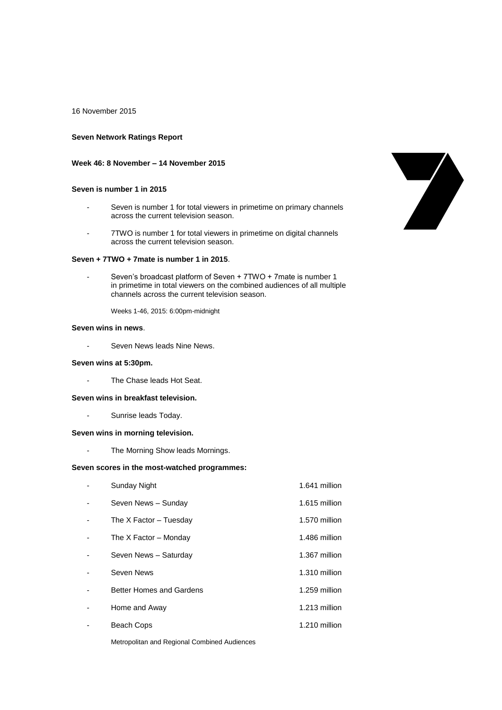16 November 2015

#### **Seven Network Ratings Report**

### **Week 46: 8 November – 14 November 2015**

### **Seven is number 1 in 2015**

- Seven is number 1 for total viewers in primetime on primary channels across the current television season.
- 7TWO is number 1 for total viewers in primetime on digital channels across the current television season.

# **Seven + 7TWO + 7mate is number 1 in 2015**.

Seven's broadcast platform of Seven + 7TWO + 7mate is number 1 in primetime in total viewers on the combined audiences of all multiple channels across the current television season.

Weeks 1-46, 2015: 6:00pm-midnight

# **Seven wins in news**.

Seven News leads Nine News.

#### **Seven wins at 5:30pm.**

- The Chase leads Hot Seat.

### **Seven wins in breakfast television.**

- Sunrise leads Today.

#### **Seven wins in morning television.**

The Morning Show leads Mornings.

## **Seven scores in the most-watched programmes:**

- Sunday Night 1.641 million - Seven News – Sunday 1.615 million - The X Factor – Tuesday 1.570 million - The X Factor – Monday 1.486 million - Seven News – Saturday 1.367 million Seven News 2008 1.310 million - Better Homes and Gardens 1.259 million Home and Away 1.213 million Beach Cops 1.210 million



Metropolitan and Regional Combined Audiences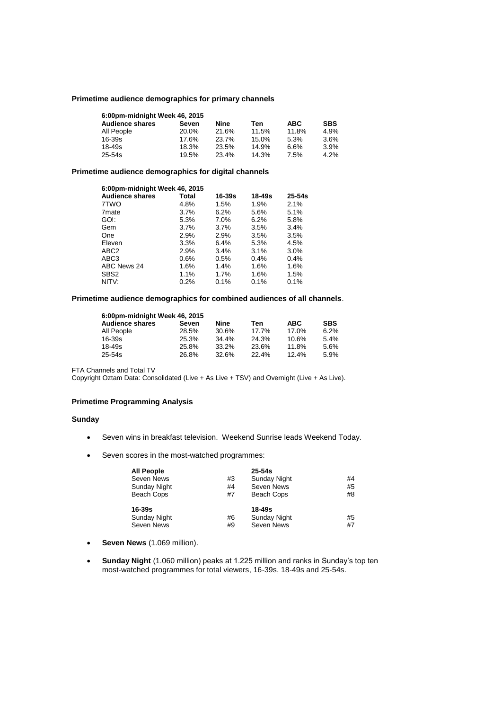### **Primetime audience demographics for primary channels**

| 6:00pm-midnight Week 46, 2015 |       |       |       |            |            |
|-------------------------------|-------|-------|-------|------------|------------|
| <b>Audience shares</b>        | Seven | Nine  | Ten   | <b>ABC</b> | <b>SBS</b> |
| All People                    | 20.0% | 21.6% | 11.5% | 11.8%      | 4.9%       |
| $16 - 39s$                    | 17.6% | 23.7% | 15.0% | 5.3%       | 3.6%       |
| $18 - 49s$                    | 18.3% | 23.5% | 14.9% | 6.6%       | 3.9%       |
| $25 - 54s$                    | 19.5% | 23.4% | 14.3% | 7.5%       | 4.2%       |

## **Primetime audience demographics for digital channels**

| 6:00pm-midnight Week 46, 2015 |         |            |            |            |
|-------------------------------|---------|------------|------------|------------|
| <b>Audience shares</b>        | Total   | $16 - 39s$ | $18 - 49s$ | $25 - 54s$ |
| 7TWO                          | 4.8%    | 1.5%       | 1.9%       | 2.1%       |
| 7 <sub>mate</sub>             | $3.7\%$ | 6.2%       | 5.6%       | 5.1%       |
| GO!:                          | 5.3%    | 7.0%       | 6.2%       | 5.8%       |
| Gem                           | $3.7\%$ | $3.7\%$    | 3.5%       | 3.4%       |
| One                           | 2.9%    | 2.9%       | 3.5%       | 3.5%       |
| Eleven                        | 3.3%    | 6.4%       | 5.3%       | 4.5%       |
| ABC <sub>2</sub>              | 2.9%    | 3.4%       | 3.1%       | 3.0%       |
| ABC3                          | $0.6\%$ | 0.5%       | 0.4%       | 0.4%       |
| ABC News 24                   | 1.6%    | 1.4%       | 1.6%       | 1.6%       |
| SBS <sub>2</sub>              | 1.1%    | 1.7%       | 1.6%       | 1.5%       |
| NITV:                         | 0.2%    | 0.1%       | 0.1%       | 0.1%       |

## **Primetime audience demographics for combined audiences of all channels**.

| 6:00pm-midnight Week 46, 2015 |       |          |       |       |            |
|-------------------------------|-------|----------|-------|-------|------------|
| <b>Audience shares</b>        | Seven | Nine     | Ten   | ABC   | <b>SBS</b> |
| All People                    | 28.5% | 30.6%    | 17.7% | 17.0% | 6.2%       |
| $16 - 39s$                    | 25.3% | $34.4\%$ | 24.3% | 10.6% | 5.4%       |
| 18-49s                        | 25.8% | 33.2%    | 23.6% | 11.8% | 5.6%       |
| 25-54s                        | 26.8% | 32.6%    | 22.4% | 12.4% | 5.9%       |

FTA Channels and Total TV

Copyright Oztam Data: Consolidated (Live + As Live + TSV) and Overnight (Live + As Live).

## **Primetime Programming Analysis**

### **Sunday**

- Seven wins in breakfast television. Weekend Sunrise leads Weekend Today.
- Seven scores in the most-watched programmes:

| All People   |    | $25 - 54s$          |    |
|--------------|----|---------------------|----|
| Seven News   | #3 | Sunday Night        | #4 |
| Sunday Night | #4 | Seven News          | #5 |
| Beach Cops   | #7 | Beach Cops          | #8 |
| 16-39s       |    | 18-49s              |    |
| Sunday Night | #6 | <b>Sunday Night</b> | #5 |
| Seven News   | #9 | Seven News          | #7 |

- **Seven News** (1.069 million).
- **Sunday Night** (1.060 million) peaks at 1.225 million and ranks in Sunday's top ten most-watched programmes for total viewers, 16-39s, 18-49s and 25-54s.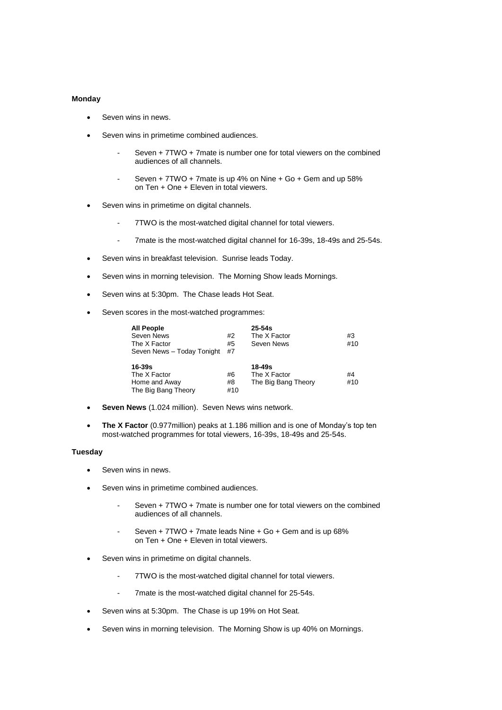### **Monday**

- Seven wins in news.
- Seven wins in primetime combined audiences.
	- Seven + 7TWO + 7mate is number one for total viewers on the combined audiences of all channels.
	- Seven + 7TWO + 7mate is up 4% on Nine + Go + Gem and up 58% on Ten + One + Eleven in total viewers.
- Seven wins in primetime on digital channels.
	- 7TWO is the most-watched digital channel for total viewers.
	- 7mate is the most-watched digital channel for 16-39s, 18-49s and 25-54s.
- Seven wins in breakfast television. Sunrise leads Today.
- Seven wins in morning television. The Morning Show leads Mornings.
- Seven wins at 5:30pm. The Chase leads Hot Seat.
- Seven scores in the most-watched programmes:

| <b>All People</b>          |     | $25 - 54s$          |     |
|----------------------------|-----|---------------------|-----|
| Seven News                 | #2  | The X Factor        | #3  |
| The X Factor               | #5  | Seven News          | #10 |
| Seven News - Today Tonight | #7  |                     |     |
|                            |     |                     |     |
|                            |     |                     |     |
| $16 - 39s$                 |     | 18-49s              |     |
| The X Factor               | #6  | The X Factor        | #4  |
| Home and Away              | #8  | The Big Bang Theory | #10 |
| The Big Bang Theory        | #10 |                     |     |

- **Seven News** (1.024 million). Seven News wins network.
- **The X Factor** (0.977million) peaks at 1.186 million and is one of Monday's top ten most-watched programmes for total viewers, 16-39s, 18-49s and 25-54s.

#### **Tuesday**

- Seven wins in news.
- Seven wins in primetime combined audiences.
	- Seven + 7TWO + 7mate is number one for total viewers on the combined audiences of all channels.
	- Seven + 7TWO + 7mate leads Nine + Go + Gem and is up 68% on Ten + One + Eleven in total viewers.
- Seven wins in primetime on digital channels.
	- 7TWO is the most-watched digital channel for total viewers.
	- 7mate is the most-watched digital channel for 25-54s.
- Seven wins at 5:30pm. The Chase is up 19% on Hot Seat.
- Seven wins in morning television. The Morning Show is up 40% on Mornings.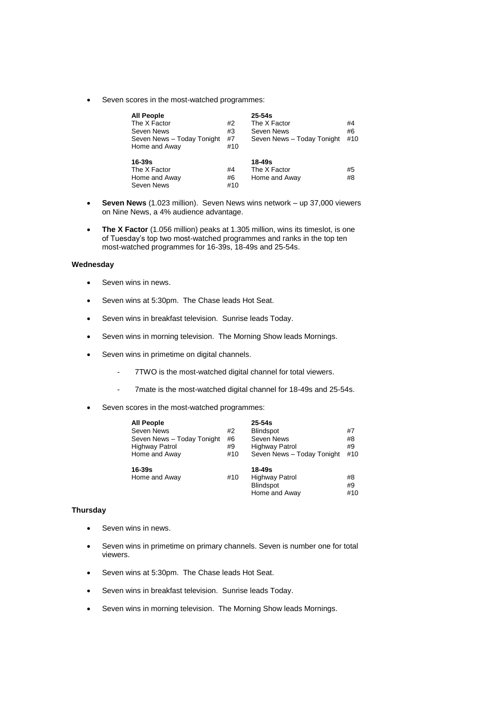Seven scores in the most-watched programmes:

| <b>All People</b><br>The X Factor<br>Seven News<br>Seven News - Today Tonight<br>Home and Away | #2<br>#3<br>#7<br>#10 | $25-54s$<br>The X Factor<br>Seven News<br>Seven News - Today Tonight | #4<br>#6<br>#10 |
|------------------------------------------------------------------------------------------------|-----------------------|----------------------------------------------------------------------|-----------------|
| $16 - 39s$<br>The X Factor<br>Home and Away<br>Seven News                                      | #4<br>#6<br>#10       | 18-49s<br>The X Factor<br>Home and Away                              | #5<br>#8        |

- **Seven News** (1.023 million). Seven News wins network up 37,000 viewers on Nine News, a 4% audience advantage.
- **The X Factor** (1.056 million) peaks at 1.305 million, wins its timeslot, is one of Tuesday's top two most-watched programmes and ranks in the top ten most-watched programmes for 16-39s, 18-49s and 25-54s.

### **Wednesday**

- **Seven wins in news.**
- Seven wins at 5:30pm. The Chase leads Hot Seat.
- Seven wins in breakfast television. Sunrise leads Today.
- Seven wins in morning television. The Morning Show leads Mornings.
- Seven wins in primetime on digital channels.
	- 7TWO is the most-watched digital channel for total viewers.
	- 7mate is the most-watched digital channel for 18-49s and 25-54s.
- Seven scores in the most-watched programmes:

| <b>All People</b>          |     | $25 - 54s$                 |     |
|----------------------------|-----|----------------------------|-----|
| Seven News                 | #2  | <b>Blindspot</b>           | #7  |
| Seven News - Today Tonight | #6  | Seven News                 | #8  |
| <b>Highway Patrol</b>      | #9  | Highway Patrol             | #9  |
| Home and Away              | #10 | Seven News - Today Tonight | #10 |
| 16-39s                     |     | 18-49s                     |     |
| Home and Away              | #10 | <b>Highway Patrol</b>      | #8  |
|                            |     | <b>Blindspot</b>           | #9  |
|                            |     | Home and Away              | #10 |

# **Thursday**

- Seven wins in news.
- Seven wins in primetime on primary channels. Seven is number one for total viewers.
- Seven wins at 5:30pm. The Chase leads Hot Seat.
- Seven wins in breakfast television. Sunrise leads Today.
- Seven wins in morning television. The Morning Show leads Mornings.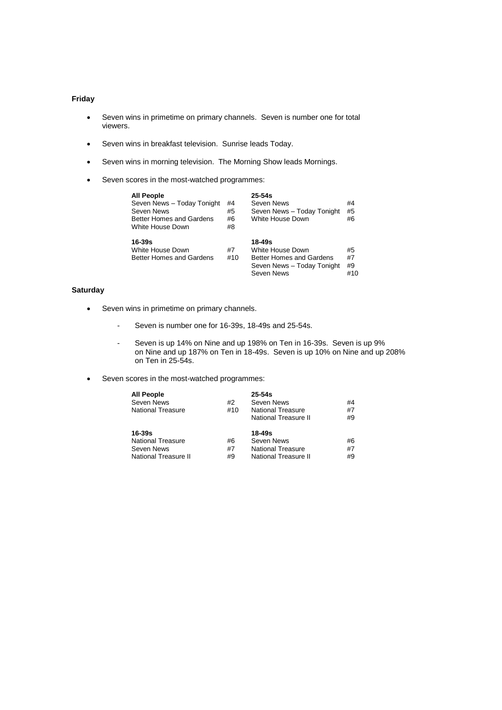# **Friday**

- Seven wins in primetime on primary channels. Seven is number one for total viewers.
- Seven wins in breakfast television. Sunrise leads Today.
- Seven wins in morning television. The Morning Show leads Mornings.
- Seven scores in the most-watched programmes:

| <b>All People</b><br>Seven News - Today Tonight<br>Seven News<br>Better Homes and Gardens<br>White House Down | #4<br>#5<br>#6<br>#8 | $25-54s$<br>Seven News<br>Seven News - Today Tonight<br>White House Down                                  | #4<br>#5<br>#6        |
|---------------------------------------------------------------------------------------------------------------|----------------------|-----------------------------------------------------------------------------------------------------------|-----------------------|
| $16 - 39s$<br>White House Down<br>Better Homes and Gardens                                                    | #7<br>#10            | 18-49s<br>White House Down<br><b>Better Homes and Gardens</b><br>Seven News - Today Tonight<br>Seven News | #5<br>#7<br>#9<br>#10 |

# **Saturday**

- Seven wins in primetime on primary channels.
	- Seven is number one for 16-39s, 18-49s and 25-54s.
	- Seven is up 14% on Nine and up 198% on Ten in 16-39s. Seven is up 9% on Nine and up 187% on Ten in 18-49s. Seven is up 10% on Nine and up 208% on Ten in 25-54s.
- Seven scores in the most-watched programmes:

| All People           |     | $25 - 54s$               |    |
|----------------------|-----|--------------------------|----|
| Seven News           | #2  | Seven News               | #4 |
| National Treasure    | #10 | <b>National Treasure</b> | #7 |
|                      |     | National Treasure II     | #9 |
| 16-39s               |     | 18-49s                   |    |
| National Treasure    | #6  | Seven News               | #6 |
| Seven News           | #7  | <b>National Treasure</b> | #7 |
| National Treasure II | #9  | National Treasure II     | #9 |
|                      |     |                          |    |